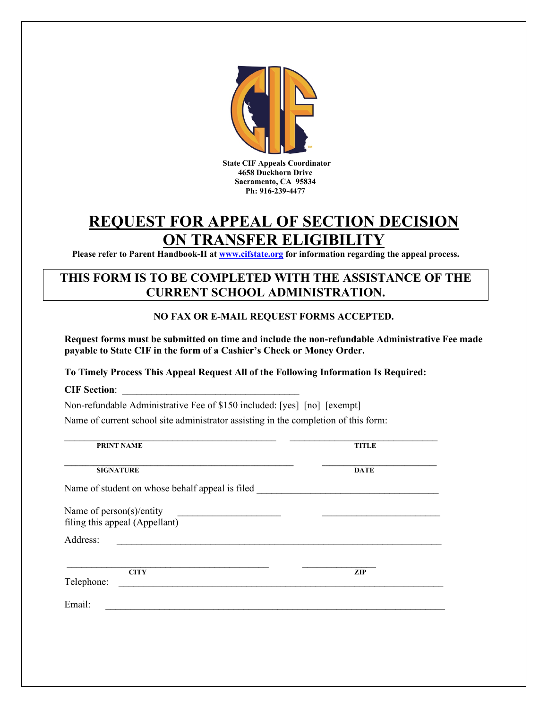

# **REQUEST FOR APPEAL OF SECTION DECISION ON TRANSFER ELIGIBILITY**

**Please refer to Parent Handbook-II at [www.cifstate.org](http://www.cifstate.org/) for information regarding the appeal process.** 

## **THIS FORM IS TO BE COMPLETED WITH THE ASSISTANCE OF THE CURRENT SCHOOL ADMINISTRATION.**

### **NO FAX OR E-MAIL REQUEST FORMS ACCEPTED.**

**Request forms must be submitted on time and include the non-refundable Administrative Fee made payable to State CIF in the form of a Cashier's Check or Money Order.** 

#### **To Timely Process This Appeal Request All of the Following Information Is Required:**

**CIF Section**: \_\_\_\_\_\_\_\_\_\_\_\_\_\_\_\_\_\_\_\_\_\_\_\_\_\_\_\_\_\_\_\_\_\_\_\_

Non-refundable Administrative Fee of \$150 included: [yes] [no] [exempt]

Name of current school site administrator assisting in the completion of this form:

| <b>PRINT NAME</b>                                                                                                                                                                                                                                | <b>TITLE</b> |
|--------------------------------------------------------------------------------------------------------------------------------------------------------------------------------------------------------------------------------------------------|--------------|
| <b>SIGNATURE</b>                                                                                                                                                                                                                                 | <b>DATE</b>  |
| Name of student on whose behalf appeal is filed                                                                                                                                                                                                  |              |
| Name of person(s)/entity<br>filing this appeal (Appellant)                                                                                                                                                                                       |              |
| Address:<br><u>and the state of the state of the state of the state of the state of the state of the state of the state of the state of the state of the state of the state of the state of the state of the state of the state of the state</u> |              |
| <b>CITY</b><br>Telephone:                                                                                                                                                                                                                        | <b>ZIP</b>   |
| Email:                                                                                                                                                                                                                                           |              |
|                                                                                                                                                                                                                                                  |              |
|                                                                                                                                                                                                                                                  |              |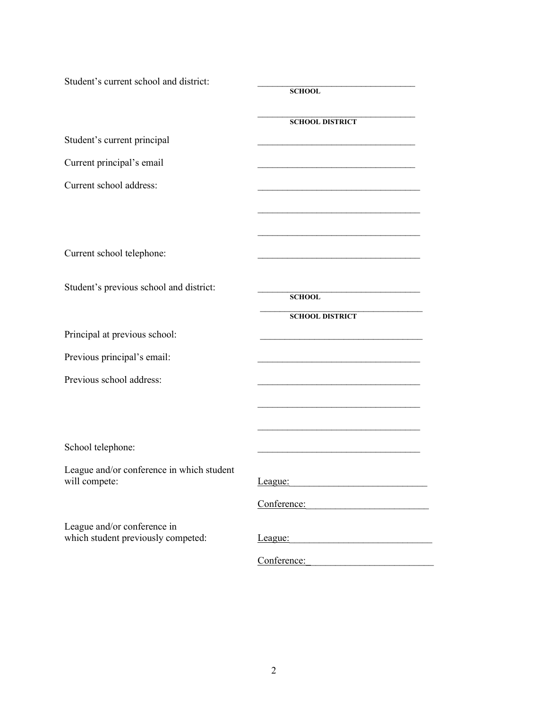| Student's current school and district:                            | <b>SCHOOL</b>                                            |
|-------------------------------------------------------------------|----------------------------------------------------------|
|                                                                   | <b>SCHOOL DISTRICT</b>                                   |
| Student's current principal                                       |                                                          |
| Current principal's email                                         |                                                          |
| Current school address:                                           |                                                          |
|                                                                   |                                                          |
|                                                                   |                                                          |
| Current school telephone:                                         |                                                          |
| Student's previous school and district:                           | <b>SCHOOL</b>                                            |
|                                                                   | <b>SCHOOL DISTRICT</b>                                   |
| Principal at previous school:                                     |                                                          |
| Previous principal's email:                                       |                                                          |
| Previous school address:                                          |                                                          |
|                                                                   |                                                          |
|                                                                   |                                                          |
| School telephone:                                                 |                                                          |
| League and/or conference in which student<br>will compete:        | League:<br><u> 1980 - Jan Barbara, manazarta bash</u>    |
|                                                                   | Conference: Conference:                                  |
| League and/or conference in<br>which student previously competed: | League:<br><u> 1989 - Jan Samuel Barbara, margaret e</u> |
|                                                                   | Conference:                                              |